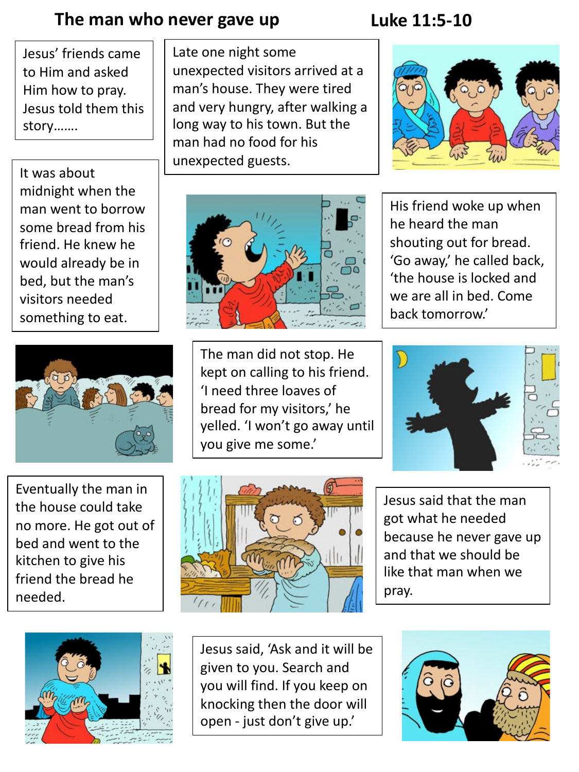#### The man who never gave up Luke 11:5-10

Jesus' friends came to Him and asked Him how to pray. Jesus told them this story…….

Late one night some unexpected visitors arrived at a man's house. They were tired and very hungry, after walking a long way to his town. But the man had no food for his

It was about and all unexpected guests. midnight when the man went to borrow some bread from his friend. He knew he would already be in bed, but the man's visitors needed something to eat.



Eventually the man in the house could take no more. He got out of bed and went to the kitchen to give his friend the bread he needed.



The man did not stop. He kept on calling to his friend. 'I need three loaves of bread for my visitors,' he yelled. 'I won't go away until you give me some.'







Jesus said that the man got what he needed because he never gave up and that we should be like that man when we pray.



Jesus said, 'Ask and it will be given to you. Search and you will find. If you keep on knocking then the door will open - just don't give up.'



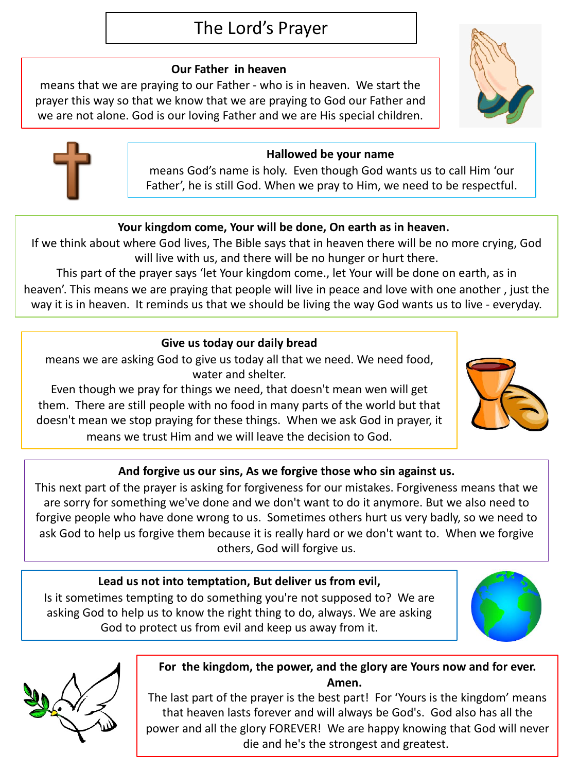### The Lord's Prayer

#### **Our Father in heaven**

means that we are praying to our Father - who is in heaven. We start the prayer this way so that we know that we are praying to God our Father and we are not alone. God is our loving Father and we are His special children.



means God's name is holy. Even though God wants us to call Him 'our Father', he is still God. When we pray to Him, we need to be respectful.

#### **Your kingdom come, Your will be done, On earth as in heaven.**

If we think about where God lives, The Bible says that in heaven there will be no more crying, God will live with us, and there will be no hunger or hurt there.

This part of the prayer says 'let Your kingdom come., let Your will be done on earth, as in heaven'. This means we are praying that people will live in peace and love with one another , just the way it is in heaven. It reminds us that we should be living the way God wants us to live - everyday.

#### **Give us today our daily bread**

means we are asking God to give us today all that we need. We need food, water and shelter.

Even though we pray for things we need, that doesn't mean wen will get them. There are still people with no food in many parts of the world but that doesn't mean we stop praying for these things. When we ask God in prayer, it means we trust Him and we will leave the decision to God.

#### **And forgive us our sins, As we forgive those who sin against us.**

This next part of the prayer is asking for forgiveness for our mistakes. Forgiveness means that we are sorry for something we've done and we don't want to do it anymore. But we also need to forgive people who have done wrong to us. Sometimes others hurt us very badly, so we need to ask God to help us forgive them because it is really hard or we don't want to. When we forgive others, God will forgive us.

#### **Lead us not into temptation, But deliver us from evil,**

Is it sometimes tempting to do something you're not supposed to? We are asking God to help us to know the right thing to do, always. We are asking God to protect us from evil and keep us away from it.



The last part of the prayer is the best part! For 'Yours is the kingdom' means that heaven lasts forever and will always be God's. God also has all the power and all the glory FOREVER! We are happy knowing that God will never die and he's the strongest and greatest.







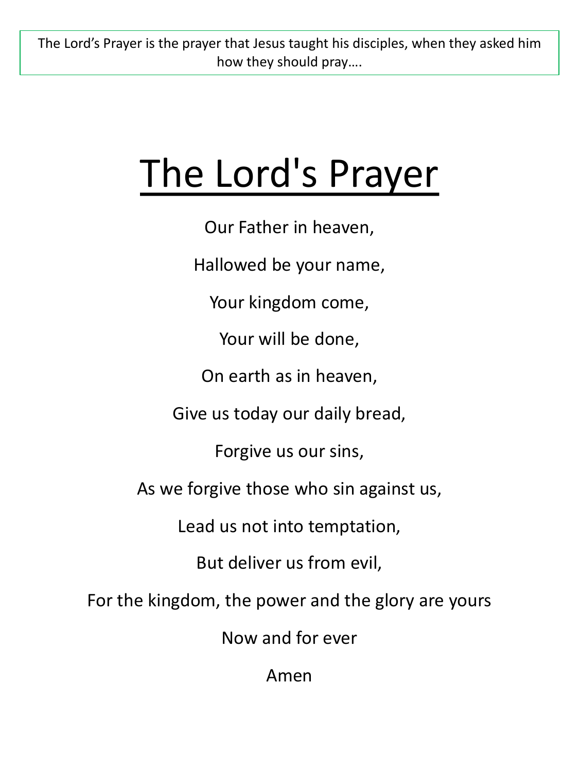The Lord's Prayer is the prayer that Jesus taught his disciples, when they asked him how they should pray….

## The Lord's Prayer

Our Father in heaven,

Hallowed be your name,

Your kingdom come,

Your will be done,

On earth as in heaven,

Give us today our daily bread,

Forgive us our sins,

As we forgive those who sin against us,

Lead us not into temptation,

But deliver us from evil,

For the kingdom, the power and the glory are yours

Now and for ever

Amen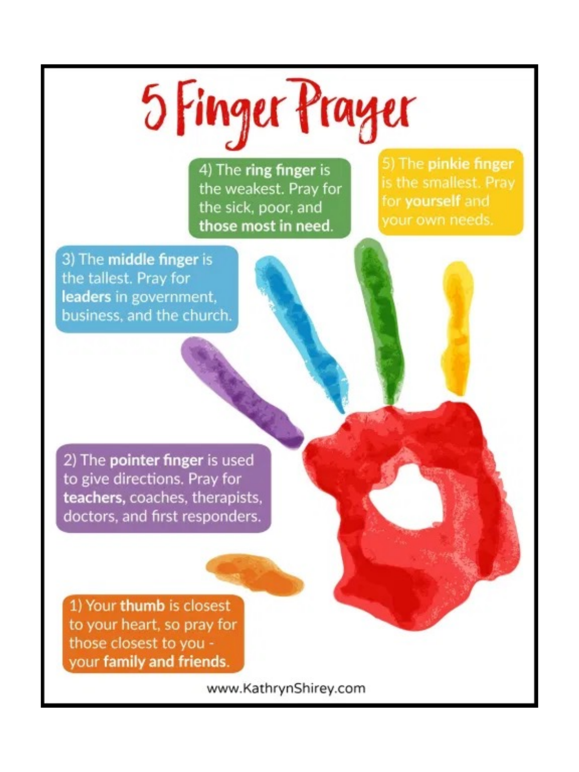# 5 Finger Prayer

4) The ring finger is the weakest. Pray for the sick, poor, and those most in need.

5) The pinkie finger is the smallest. Pray for yourself and vour own needs.

3) The middle finger is the tallest. Pray for leaders in government. business, and the church.

2) The pointer finger is used to give directions. Pray for teachers, coaches, therapists, doctors, and first responders.

1) Your thumb is closest to your heart, so pray for those closest to you your family and friends.

www.KathrynShirey.com